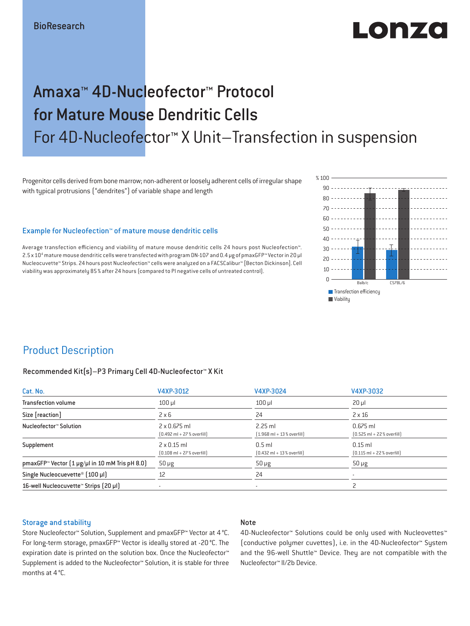# Lobizo

# Amaxa™ 4D-Nucleofector™ Protocol for Mature Mouse Dendritic Cells For 4D-Nucleofector™ X Unit–Transfection in suspension

Progenitor cells derived from bone marrow; non-adherent or loosely adherent cells of irregular shape with typical protrusions ("dendrites") of variable shape and length

#### Example for Nucleofection™ of mature mouse dendritic cells

Average transfection efficiency and viability of mature mouse dendritic cells 24 hours post Nucleofection™. 2.5 x 104 mature mouse dendritic cells were transfected with program DN-107 and 0.4 μg of pmaxGFP™ Vector in 20 μl Nucleocuvette™ Strips. 24 hours post Nucleofection™ cells were analyzed on a FACSCalibur™ [Becton Dickinson]. Cell viability was approximately 85 % after 24 hours (compared to PI negative cells of untreated control).



# Product Description

#### Recommended Kit(s)–P3 Primary Cell 4D-Nucleofector™ X Kit

| Cat. No.                                                           | V4XP-3012                                                           | V4XP-3024                                                | V4XP-3032                                                  |  |
|--------------------------------------------------------------------|---------------------------------------------------------------------|----------------------------------------------------------|------------------------------------------------------------|--|
| <b>Transfection volume</b>                                         | $100$ $\mu$                                                         | $100$ $\mu$                                              | $20 \mu$                                                   |  |
| Size [reaction]                                                    | $2 \times 6$                                                        | 24                                                       | $2 \times 16$                                              |  |
| Nucleofector™ Solution                                             | $2 \times 0.675$ ml<br>$[0.492 \text{ ml} + 27 \text{ %} overfill]$ | $2.25$ ml<br>$[1.968 \text{ ml} + 13 % \text{overfill}]$ | $0.675$ ml<br>$[0.525 \text{ ml} + 22 \text{ % overfill}]$ |  |
| Supplement                                                         | $2 \times 0.15$ ml<br>$[0.108 \text{ ml} + 27 \text{ %} overfill]$  | $0.5$ ml<br>$[0.432 \text{ ml} + 13 \text{ %} overfill]$ | $0.15$ ml<br>$[0.115 \text{ ml} + 22 \text{ % overfill}]$  |  |
| pmaxGFP <sup>*</sup> Vector $(1 \mu g/\mu l$ in 10 mM Tris pH 8.0) | $50 \mu g$                                                          | $50 \mu g$                                               | $50 \mu g$                                                 |  |
| Single Nucleocuevette <sup>®</sup> [100 µl]                        | 12                                                                  | 24                                                       |                                                            |  |
| 16-well Nucleocuvette <sup>™</sup> Strips [20 µl]                  |                                                                     | $\overline{\phantom{a}}$                                 |                                                            |  |

#### Storage and stability

#### Note

Store Nucleofector™ Solution, Supplement and pmaxGFP™ Vector at 4 °C. For long-term storage, pmaxGFP™ Vector is ideally stored at -20 °C. The expiration date is printed on the solution box. Once the Nucleofector™ Supplement is added to the Nucleofector™ Solution, it is stable for three months at 4 °C.

4D-Nucleofector™ Solutions could be only used with Nucleovettes™ (conductive polymer cuvettes), i.e. in the 4D-Nucleofector™ System and the 96-well Shuttle™ Device. They are not compatible with the Nucleofector™ II/2b Device.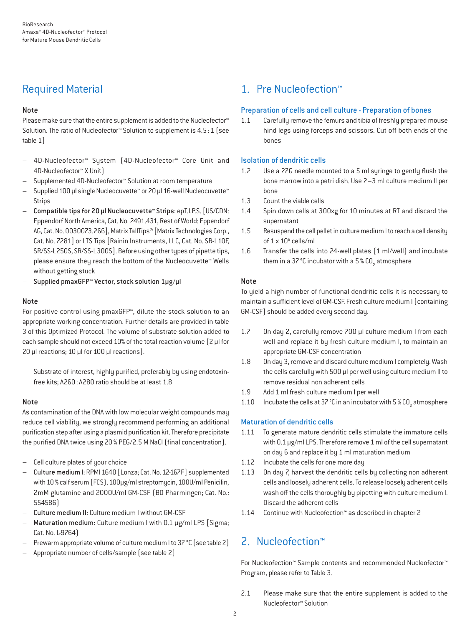# Required Material

### Note

Please make sure that the entire supplement is added to the Nucleofector<sup>™</sup> Solution. The ratio of Nucleofector™ Solution to supplement is 4.5:1 (see table 1)

- 4D-Nucleofector™ System (4D-Nucleofector™ Core Unit and 4D-Nucleofector™ X Unit)
- Supplemented 4D-Nucleofector™ Solution at room temperature
- Supplied 100 µl single Nucleocuvette™ or 20 µl 16-well Nucleocuvette™ Strips
- Compatible tips for 20 µl Nucleocuvette™ Strips: epT.I.P.S. [US/CDN: Eppendorf North America, Cat. No. 2491.431, Rest of World: Eppendorf AG, Cat. No. 0030073.266], Matrix TallTips® [Matrix Technologies Corp., Cat. No. 7281] or LTS Tips [Rainin Instruments, LLC, Cat. No. SR-L10F, SR/SS-L250S, SR/SS-L300S]. Before using other types of pipette tips, please ensure they reach the bottom of the Nucleocuvette™ Wells without getting stuck
- Supplied pmaxGFP™ Vector, stock solution 1µg/µl

### Note

For positive control using pmaxGFP™, dilute the stock solution to an appropriate working concentration. Further details are provided in table 3 of this Optimized Protocol. The volume of substrate solution added to each sample should not exceed 10% of the total reaction volume [2 µl for 20 µl reactions; 10 µl for 100 µl reactions).

– Substrate of interest, highly purified, preferably by using endotoxinfree kits; A260: A280 ratio should be at least 1.8

### Note

As contamination of the DNA with low molecular weight compounds may reduce cell viability, we strongly recommend performing an additional purification step after using a plasmid purification kit. Therefore precipitate the purified DNA twice using 20% PEG/2.5 M NaCl (final concentration).

- Cell culture plates of your choice
- Culture medium I: RPMI 1640 [Lonza; Cat. No. 12-167F] supplemented with 10% calf serum (FCS), 100μg/ml streptomycin, 100U/ml Penicilin, 2mM glutamine and 2000U/ml GM-CSF (BD Pharmingen; Cat. No.: 554586)
- Culture medium II: Culture medium I without GM-CSF
- Maturation medium: Culture medium I with 0.1 μg/ml LPS [Sigma; Cat. No. L-9764)
- Prewarm appropriate volume of culture medium I to 37 °C (see table 2)
- Appropriate number of cells/sample (see table 2)

# 1. Pre Nucleofection™

## Preparation of cells and cell culture - Preparation of bones

1.1 Carefully remove the femurs and tibia of freshly prepared mouse hind legs using forceps and scissors. Cut off both ends of the bones

### Isolation of dendritic cells

- 1.2 Use a 27G needle mounted to a 5 ml syringe to gently flush the bone marrow into a petri dish. Use 2–3 ml culture medium II per bone
- 1.3 Count the viable cells
- 1.4 Spin down cells at 300xg for 10 minutes at RT and discard the supernatant
- 1.5 Resuspend the cell pellet in culture medium I to reach a cell density of  $1 \times 10^6$  cells/ml
- 1.6 Transfer the cells into 24-well plates (1 ml/well) and incubate them in a 37 °C incubator with a 5 % CO<sub>2</sub> atmosphere

## Note

To yield a high number of functional dendritic cells it is necessary to maintain a sufficient level of GM-CSF. Fresh culture medium I (containing GM-CSF) should be added every second day.

- 1.7 On day 2, carefully remove 700 μl culture medium I from each well and replace it by fresh culture medium I, to maintain an appropriate GM-CSF concentration
- 1.8 On day 3, remove and discard culture medium I completely. Wash the cells carefully with 500 μl per well using culture medium II to remove residual non adherent cells
- 1.9 Add 1 ml fresh culture medium I per well
- 1.10 Incubate the cells at 37 °C in an incubator with 5 %  $\text{CO}_2$  atmosphere

## Maturation of dendritic cells

- 1.11 To generate mature dendritic cells stimulate the immature cells with 0.1 μg/ml LPS. Therefore remove 1 ml of the cell supernatant on day 6 and replace it by 1 ml maturation medium
- 1.12 Incubate the cells for one more day
- 1.13 On day 7, harvest the dendritic cells by collecting non adherent cells and loosely adherent cells. To release loosely adherent cells wash off the cells thoroughly by pipetting with culture medium I. Discard the adherent cells
- 1.14 Continue with Nucleofection™ as described in chapter 2

# 2. Nucleofection™

For Nucleofection™ Sample contents and recommended Nucleofector™ Program, please refer to Table 3.

2.1 Please make sure that the entire supplement is added to the Nucleofector™ Solution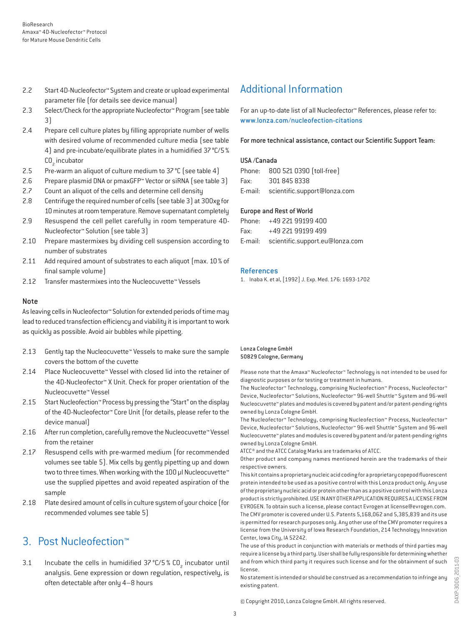- 2.2 Start 4D-Nucleofector™ System and create or upload experimental parameter file (for details see device manual)
- 2.3 Select/Check for the appropriate Nucleofector™ Program (see table 3)
- 2.4 Prepare cell culture plates by filling appropriate number of wells with desired volume of recommended culture media (see table 4) and pre-incubate/equilibrate plates in a humidified 37°C/5% CO<sub>2</sub> incubator
- 2.5 Pre-warm an aliquot of culture medium to 37 °C (see table 4)
- 2.6 Prepare plasmid DNA or pmaxGFP™ Vector or siRNA (see table 3)
- 2.7 Count an aliquot of the cells and determine cell density
- 2.8 Centrifuge the required number of cells (see table 3) at 300xg for 10 minutes at room temperature. Remove supernatant completely
- 2.9 Resuspend the cell pellet carefully in room temperature 4D-Nucleofector™ Solution (see table 3)
- 2.10 Prepare mastermixes by dividing cell suspension according to number of substrates
- 2.11 Add required amount of substrates to each aliquot (max. 10 % of final sample volume)
- 2.12 Transfer mastermixes into the Nucleocuvette™ Vessels

#### Note

As leaving cells in Nucleofector™ Solution for extended periods of time may lead to reduced transfection efficiency and viability it is important to work as quickly as possible. Avoid air bubbles while pipetting.

- 2.13 Gently tap the Nucleocuvette™ Vessels to make sure the sample covers the bottom of the cuvette
- 2.14 Place Nucleocuvette™ Vessel with closed lid into the retainer of the 4D-Nucleofector™ X Unit. Check for proper orientation of the Nucleocuvette™ Vessel
- 2.15 Start Nucleofection™ Process by pressing the "Start" on the display of the 4D-Nucleofector™ Core Unit (for details, please refer to the device manual)
- 2.16 After run completion, carefully remove the Nucleocuvette™ Vessel from the retainer
- 2.17 Resuspend cells with pre-warmed medium (for recommended volumes see table 5). Mix cells by gently pipetting up and down two to three times. When working with the 100 µl Nucleocuvette™ use the supplied pipettes and avoid repeated aspiration of the sample
- 2.18 Plate desired amount of cells in culture system of your choice (for recommended volumes see table 5)

# 3. Post Nucleofection™

3.1 Incubate the cells in humidified  $37^{\circ}$ C/5 % CO<sub>2</sub> incubator until analysis. Gene expression or down regulation, respectively, is often detectable after only 4–8 hours

# Additional Information

For an up-to-date list of all Nucleofector™ References, please refer to: www.lonza.com/nucleofection-citations

For more technical assistance, contact our Scientific Support Team:

#### USA /Canada

|      | Phone: 800 521 0390 (toll-free)      |
|------|--------------------------------------|
| Fax: | 301 845 8338                         |
|      | E-mail: scientific.support@lonza.com |

#### Europe and Rest of World

|          | Phone: +49 221 99199 400                |
|----------|-----------------------------------------|
| Fax: Fax | +49 221 99199 499                       |
|          | E-mail: scientific.support.eu@lonza.com |

#### References

1. Inaba K. et al, [1992] J. Exp. Med. 176: 1693-1702

#### Lonza Cologne GmbH 50829 Cologne, Germany

Please note that the Amaxa™ Nucleofector™ Technology is not intended to be used for diagnostic purposes or for testing or treatment in humans.

The Nucleofector™ Technology, comprising Nucleofection™ Process, Nucleofector™ Device, Nucleofector™ Solutions, Nucleofector™ 96-well Shuttle™ System and 96-well Nucleocuvette™ plates and modules is covered by patent and/or patent-pending rights owned by Lonza Cologne GmbH.

The Nucleofector™ Technology, comprising Nucleofection™ Process, Nucleofector™ Device, Nucleofector™ Solutions, Nucleofector™ 96-well Shuttle™ System and 96-well Nucleocuvette™ plates and modules is covered by patent and/or patent-pending rights owned by Lonza Cologne GmbH.

ATCC® and the ATCC Catalog Marks are trademarks of ATCC.

Other product and company names mentioned herein are the trademarks of their respective owners.

This kit contains a proprietary nucleic acid coding for a proprietary copepod fluorescent protein intended to be used as a positive control with this Lonza product only. Any use of the proprietary nucleic acid or protein other than as a positive control with this Lonza product is strictly prohibited. USE IN ANY OTHER APPLICATION REQUIRES A LICENSE FROM EVROGEN. To obtain such a license, please contact Evrogen at license@evrogen.com. The CMV promoter is covered under U.S. Patents 5,168,062 and 5,385,839 and its use is permitted for research purposes only. Any other use of the CMV promoter requires a license from the University of Iowa Research Foundation, 214 Technology Innovation Center, Iowa City, IA 52242.

The use of this product in conjunction with materials or methods of third parties may require a license by a third party. User shall be fully responsible for determining whether and from which third party it requires such license and for the obtainment of such license.

No statement is intended or should be construed as a recommendation to infringe any existing patent.

© Copyright 2010, Lonza Cologne GmbH. All rights reserved.